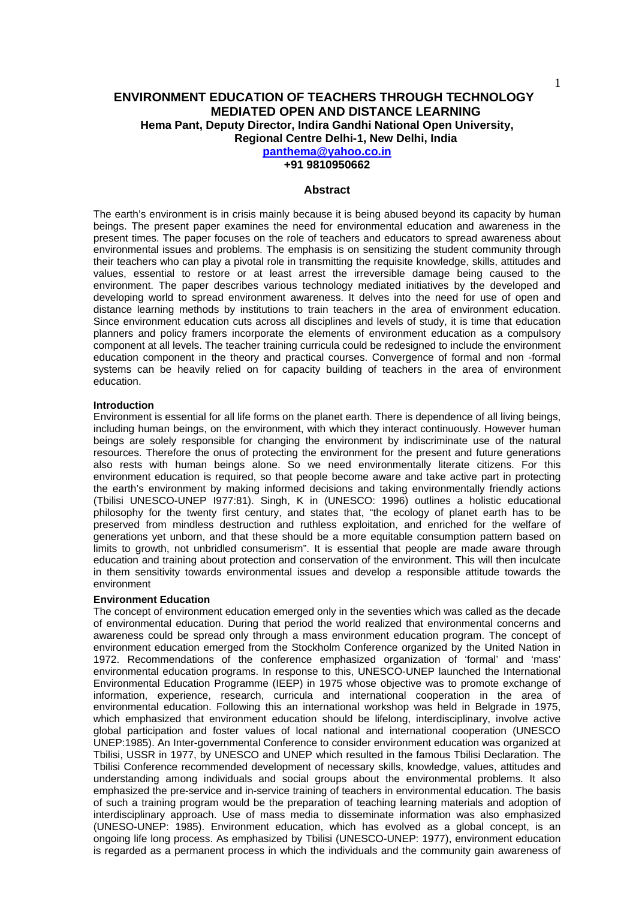**+91 9810950662** 

#### **Abstract**

The earth's environment is in crisis mainly because it is being abused beyond its capacity by human beings. The present paper examines the need for environmental education and awareness in the present times. The paper focuses on the role of teachers and educators to spread awareness about environmental issues and problems. The emphasis is on sensitizing the student community through their teachers who can play a pivotal role in transmitting the requisite knowledge, skills, attitudes and values, essential to restore or at least arrest the irreversible damage being caused to the environment. The paper describes various technology mediated initiatives by the developed and developing world to spread environment awareness. It delves into the need for use of open and distance learning methods by institutions to train teachers in the area of environment education. Since environment education cuts across all disciplines and levels of study, it is time that education planners and policy framers incorporate the elements of environment education as a compulsory component at all levels. The teacher training curricula could be redesigned to include the environment education component in the theory and practical courses. Convergence of formal and non -formal systems can be heavily relied on for capacity building of teachers in the area of environment education.

### **Introduction**

Environment is essential for all life forms on the planet earth. There is dependence of all living beings, including human beings, on the environment, with which they interact continuously. However human beings are solely responsible for changing the environment by indiscriminate use of the natural resources. Therefore the onus of protecting the environment for the present and future generations also rests with human beings alone. So we need environmentally literate citizens. For this environment education is required, so that people become aware and take active part in protecting the earth's environment by making informed decisions and taking environmentally friendly actions (Tbilisi UNESCO-UNEP I977:81). Singh, K in (UNESCO: 1996) outlines a holistic educational philosophy for the twenty first century, and states that, "the ecology of planet earth has to be preserved from mindless destruction and ruthless exploitation, and enriched for the welfare of generations yet unborn, and that these should be a more equitable consumption pattern based on limits to growth, not unbridled consumerism". It is essential that people are made aware through education and training about protection and conservation of the environment. This will then inculcate in them sensitivity towards environmental issues and develop a responsible attitude towards the environment

### **Environment Education**

The concept of environment education emerged only in the seventies which was called as the decade of environmental education. During that period the world realized that environmental concerns and awareness could be spread only through a mass environment education program. The concept of environment education emerged from the Stockholm Conference organized by the United Nation in 1972. Recommendations of the conference emphasized organization of 'formal' and 'mass' environmental education programs. In response to this, UNESCO-UNEP launched the International Environmental Education Programme (IEEP) in 1975 whose objective was to promote exchange of information, experience, research, curricula and international cooperation in the area of environmental education. Following this an international workshop was held in Belgrade in 1975, which emphasized that environment education should be lifelong, interdisciplinary, involve active global participation and foster values of local national and international cooperation (UNESCO UNEP:1985). An Inter-governmental Conference to consider environment education was organized at Tbilisi, USSR in 1977, by UNESCO and UNEP which resulted in the famous Tbilisi Declaration. The Tbilisi Conference recommended development of necessary skills, knowledge, values, attitudes and understanding among individuals and social groups about the environmental problems. It also emphasized the pre-service and in-service training of teachers in environmental education. The basis of such a training program would be the preparation of teaching learning materials and adoption of interdisciplinary approach. Use of mass media to disseminate information was also emphasized (UNESO-UNEP: 1985). Environment education, which has evolved as a global concept, is an ongoing life long process. As emphasized by Tbilisi (UNESCO-UNEP: 1977), environment education is regarded as a permanent process in which the individuals and the community gain awareness of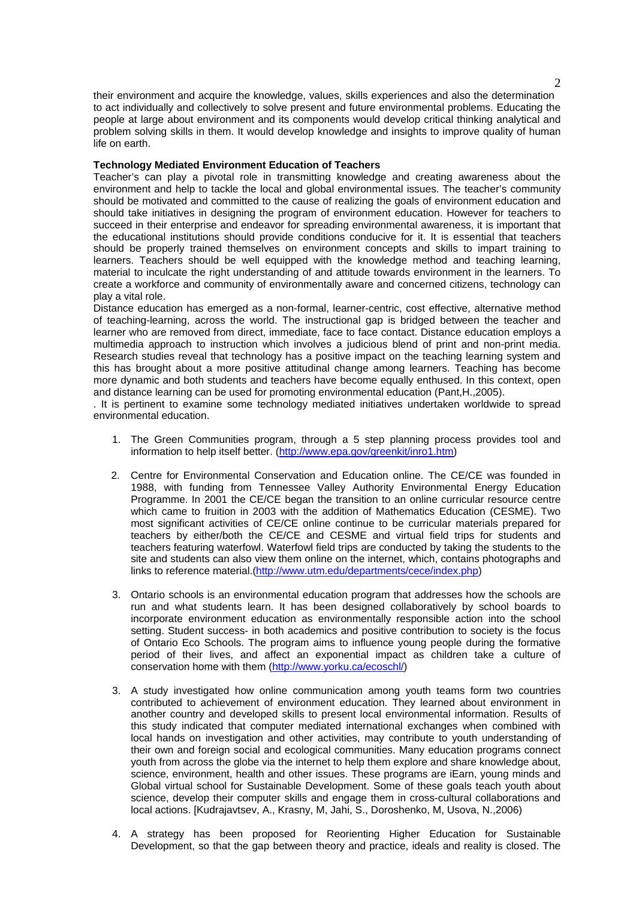their environment and acquire the knowledge, values, skills experiences and also the determination to act individually and collectively to solve present and future environmental problems. Educating the people at large about environment and its components would develop critical thinking analytical and problem solving skills in them. It would develop knowledge and insights to improve quality of human life on earth.

## **Technology Mediated Environment Education of Teachers**

Teacher's can play a pivotal role in transmitting knowledge and creating awareness about the environment and help to tackle the local and global environmental issues. The teacher's community should be motivated and committed to the cause of realizing the goals of environment education and should take initiatives in designing the program of environment education. However for teachers to succeed in their enterprise and endeavor for spreading environmental awareness, it is important that the educational institutions should provide conditions conducive for it. It is essential that teachers should be properly trained themselves on environment concepts and skills to impart training to learners. Teachers should be well equipped with the knowledge method and teaching learning, material to inculcate the right understanding of and attitude towards environment in the learners. To create a workforce and community of environmentally aware and concerned citizens, technology can play a vital role.

Distance education has emerged as a non-formal, learner-centric, cost effective, alternative method of teaching-learning, across the world. The instructional gap is bridged between the teacher and learner who are removed from direct, immediate, face to face contact. Distance education employs a multimedia approach to instruction which involves a judicious blend of print and non-print media. Research studies reveal that technology has a positive impact on the teaching learning system and this has brought about a more positive attitudinal change among learners. Teaching has become more dynamic and both students and teachers have become equally enthused. In this context, open and distance learning can be used for promoting environmental education (Pant,H.,2005).

. It is pertinent to examine some technology mediated initiatives undertaken worldwide to spread environmental education.

- 1. The Green Communities program, through a 5 step planning process provides tool and information to help itself better. (http://www.epa.gov/greenkit/inro1.htm)
- 2. Centre for Environmental Conservation and Education online. The CE/CE was founded in 1988, with funding from Tennessee Valley Authority Environmental Energy Education Programme. In 2001 the CE/CE began the transition to an online curricular resource centre which came to fruition in 2003 with the addition of Mathematics Education (CESME). Two most significant activities of CE/CE online continue to be curricular materials prepared for teachers by either/both the CE/CE and CESME and virtual field trips for students and teachers featuring waterfowl. Waterfowl field trips are conducted by taking the students to the site and students can also view them online on the internet, which, contains photographs and links to reference material.(http://www.utm.edu/departments/cece/index.php)
- 3. Ontario schools is an environmental education program that addresses how the schools are run and what students learn. It has been designed collaboratively by school boards to incorporate environment education as environmentally responsible action into the school setting. Student success- in both academics and positive contribution to society is the focus of Ontario Eco Schools. The program aims to influence young people during the formative period of their lives, and affect an exponential impact as children take a culture of conservation home with them (http://www.yorku.ca/ecoschl/)
- 3. A study investigated how online communication among youth teams form two countries contributed to achievement of environment education. They learned about environment in another country and developed skills to present local environmental information. Results of this study indicated that computer mediated international exchanges when combined with local hands on investigation and other activities, may contribute to youth understanding of their own and foreign social and ecological communities. Many education programs connect youth from across the globe via the internet to help them explore and share knowledge about, science, environment, health and other issues. These programs are iEarn, young minds and Global virtual school for Sustainable Development. Some of these goals teach youth about science, develop their computer skills and engage them in cross-cultural collaborations and local actions. [Kudrajavtsev, A., Krasny, M, Jahi, S., Doroshenko, M, Usova, N.,2006)
- 4. A strategy has been proposed for Reorienting Higher Education for Sustainable Development, so that the gap between theory and practice, ideals and reality is closed. The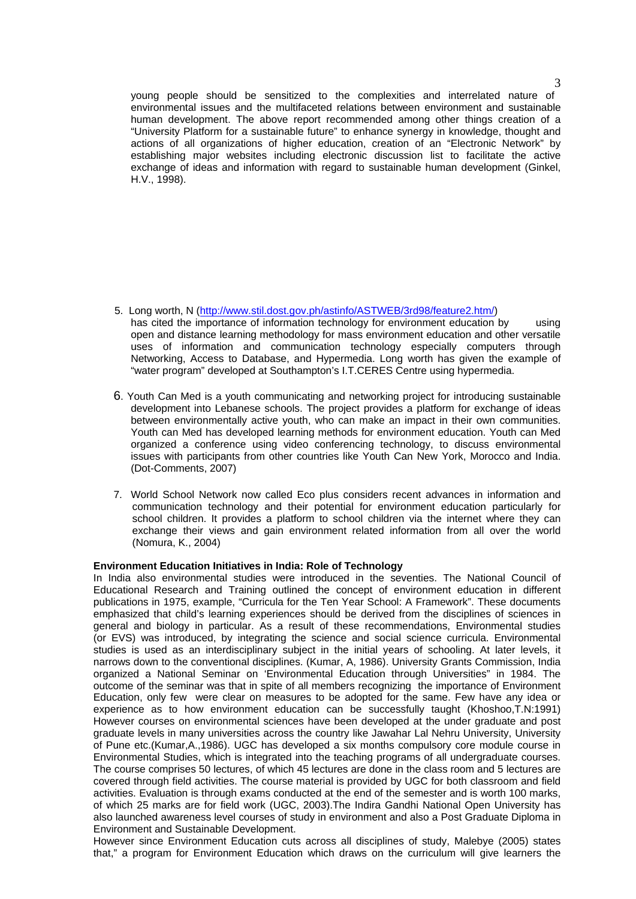young people should be sensitized to the complexities and interrelated nature of environmental issues and the multifaceted relations between environment and sustainable human development. The above report recommended among other things creation of a "University Platform for a sustainable future" to enhance synergy in knowledge, thought and actions of all organizations of higher education, creation of an "Electronic Network" by establishing major websites including electronic discussion list to facilitate the active exchange of ideas and information with regard to sustainable human development (Ginkel, H.V., 1998).

- 5. Long worth, N (http://www.stil.dost.gov.ph/astinfo/ASTWEB/3rd98/feature2.htm/) has cited the importance of information technology for environment education by using open and distance learning methodology for mass environment education and other versatile uses of information and communication technology especially computers through Networking. Access to Database, and Hypermedia. Long worth has given the example of "water program" developed at Southampton's I.T.CERES Centre using hypermedia.
- 6. Youth Can Med is a youth communicating and networking project for introducing sustainable development into Lebanese schools. The project provides a platform for exchange of ideas between environmentally active youth, who can make an impact in their own communities. Youth can Med has developed learning methods for environment education. Youth can Med organized a conference using video conferencing technology, to discuss environmental issues with participants from other countries like Youth Can New York, Morocco and India. (Dot-Comments, 2007)
- 7. World School Network now called Eco plus considers recent advances in information and communication technology and their potential for environment education particularly for school children. It provides a platform to school children via the internet where they can exchange their views and gain environment related information from all over the world (Nomura, K., 2004)

# **Environment Education Initiatives in India: Role of Technology**

In India also environmental studies were introduced in the seventies. The National Council of Educational Research and Training outlined the concept of environment education in different publications in 1975, example, "Curricula for the Ten Year School: A Framework". These documents emphasized that child's learning experiences should be derived from the disciplines of sciences in general and biology in particular. As a result of these recommendations, Environmental studies (or EVS) was introduced, by integrating the science and social science curricula. Environmental studies is used as an interdisciplinary subject in the initial years of schooling. At later levels, it narrows down to the conventional disciplines. (Kumar, A, 1986). University Grants Commission, India organized a National Seminar on 'Environmental Education through Universities" in 1984. The outcome of the seminar was that in spite of all members recognizing the importance of Environment Education, only few were clear on measures to be adopted for the same. Few have any idea or experience as to how environment education can be successfully taught (Khoshoo,T.N:1991) However courses on environmental sciences have been developed at the under graduate and post graduate levels in many universities across the country like Jawahar Lal Nehru University, University of Pune etc.(Kumar,A.,1986). UGC has developed a six months compulsory core module course in Environmental Studies, which is integrated into the teaching programs of all undergraduate courses. The course comprises 50 lectures, of which 45 lectures are done in the class room and 5 lectures are covered through field activities. The course material is provided by UGC for both classroom and field activities. Evaluation is through exams conducted at the end of the semester and is worth 100 marks, of which 25 marks are for field work (UGC, 2003).The Indira Gandhi National Open University has also launched awareness level courses of study in environment and also a Post Graduate Diploma in Environment and Sustainable Development.

However since Environment Education cuts across all disciplines of study, Malebye (2005) states that," a program for Environment Education which draws on the curriculum will give learners the

3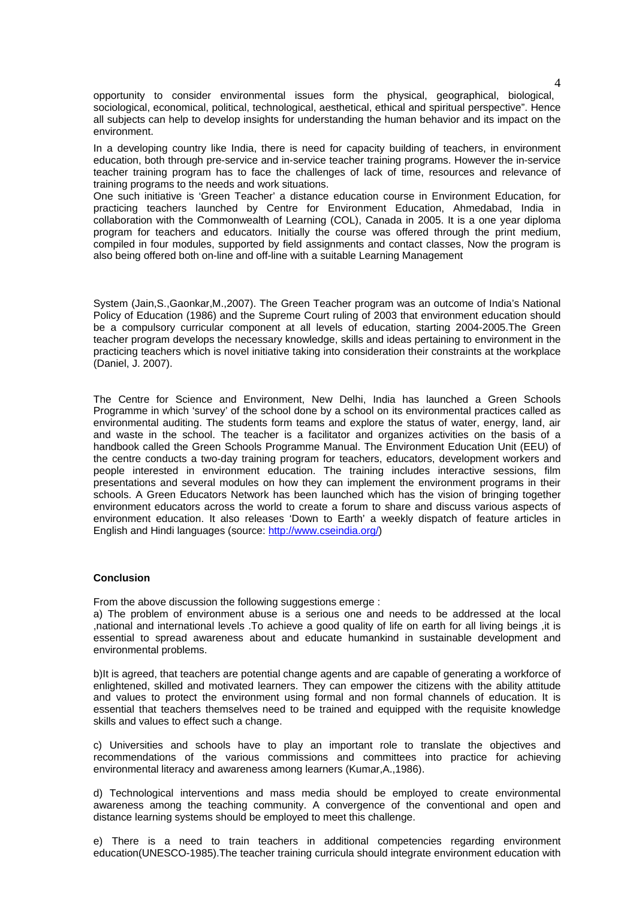opportunity to consider environmental issues form the physical, geographical, biological, sociological, economical, political, technological, aesthetical, ethical and spiritual perspective". Hence all subjects can help to develop insights for understanding the human behavior and its impact on the environment.

In a developing country like India, there is need for capacity building of teachers, in environment education, both through pre-service and in-service teacher training programs. However the in-service teacher training program has to face the challenges of lack of time, resources and relevance of training programs to the needs and work situations.

One such initiative is 'Green Teacher' a distance education course in Environment Education, for practicing teachers launched by Centre for Environment Education, Ahmedabad, India in collaboration with the Commonwealth of Learning (COL), Canada in 2005. It is a one year diploma program for teachers and educators. Initially the course was offered through the print medium, compiled in four modules, supported by field assignments and contact classes, Now the program is also being offered both on-line and off-line with a suitable Learning Management

System (Jain,S.,Gaonkar,M.,2007). The Green Teacher program was an outcome of India's National Policy of Education (1986) and the Supreme Court ruling of 2003 that environment education should be a compulsory curricular component at all levels of education, starting 2004-2005.The Green teacher program develops the necessary knowledge, skills and ideas pertaining to environment in the practicing teachers which is novel initiative taking into consideration their constraints at the workplace (Daniel, J. 2007).

The Centre for Science and Environment, New Delhi, India has launched a Green Schools Programme in which 'survey' of the school done by a school on its environmental practices called as environmental auditing. The students form teams and explore the status of water, energy, land, air and waste in the school. The teacher is a facilitator and organizes activities on the basis of a handbook called the Green Schools Programme Manual. The Environment Education Unit (EEU) of the centre conducts a two-day training program for teachers, educators, development workers and people interested in environment education. The training includes interactive sessions, film presentations and several modules on how they can implement the environment programs in their schools. A Green Educators Network has been launched which has the vision of bringing together environment educators across the world to create a forum to share and discuss various aspects of environment education. It also releases 'Down to Earth' a weekly dispatch of feature articles in English and Hindi languages (source: http://www.cseindia.org/)

### **Conclusion**

From the above discussion the following suggestions emerge :

a) The problem of environment abuse is a serious one and needs to be addressed at the local ,national and international levels .To achieve a good quality of life on earth for all living beings ,it is essential to spread awareness about and educate humankind in sustainable development and environmental problems.

b)It is agreed, that teachers are potential change agents and are capable of generating a workforce of enlightened, skilled and motivated learners. They can empower the citizens with the ability attitude and values to protect the environment using formal and non formal channels of education. It is essential that teachers themselves need to be trained and equipped with the requisite knowledge skills and values to effect such a change.

c) Universities and schools have to play an important role to translate the objectives and recommendations of the various commissions and committees into practice for achieving environmental literacy and awareness among learners (Kumar,A.,1986).

d) Technological interventions and mass media should be employed to create environmental awareness among the teaching community. A convergence of the conventional and open and distance learning systems should be employed to meet this challenge.

e) There is a need to train teachers in additional competencies regarding environment education(UNESCO-1985).The teacher training curricula should integrate environment education with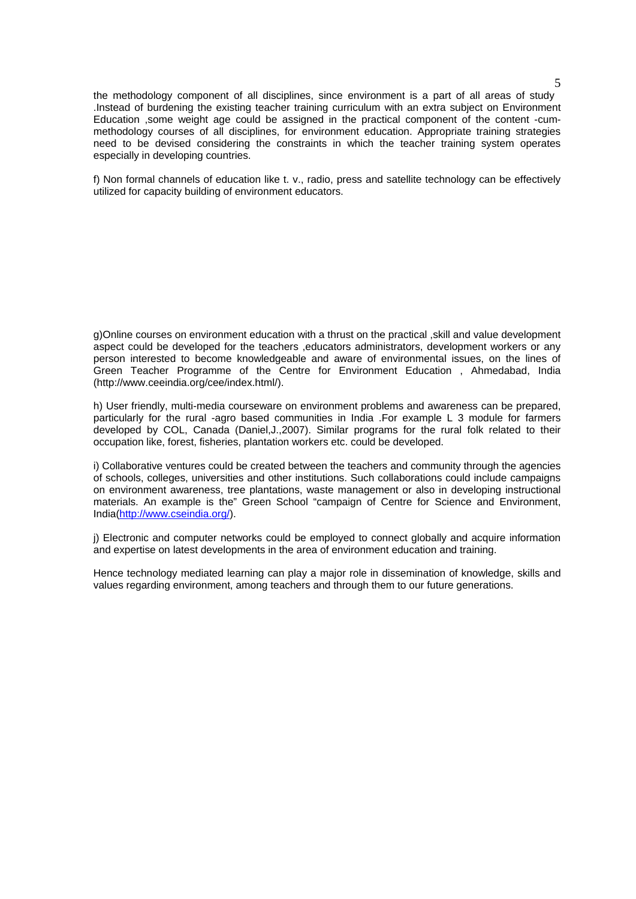the methodology component of all disciplines, since environment is a part of all areas of study .Instead of burdening the existing teacher training curriculum with an extra subject on Environment Education ,some weight age could be assigned in the practical component of the content -cummethodology courses of all disciplines, for environment education. Appropriate training strategies need to be devised considering the constraints in which the teacher training system operates especially in developing countries.

f) Non formal channels of education like t. v., radio, press and satellite technology can be effectively utilized for capacity building of environment educators.

g)Online courses on environment education with a thrust on the practical ,skill and value development aspect could be developed for the teachers ,educators administrators, development workers or any person interested to become knowledgeable and aware of environmental issues, on the lines of Green Teacher Programme of the Centre for Environment Education , Ahmedabad, India (http://www.ceeindia.org/cee/index.html/).

h) User friendly, multi-media courseware on environment problems and awareness can be prepared, particularly for the rural -agro based communities in India .For example L 3 module for farmers developed by COL, Canada (Daniel,J.,2007). Similar programs for the rural folk related to their occupation like, forest, fisheries, plantation workers etc. could be developed.

i) Collaborative ventures could be created between the teachers and community through the agencies of schools, colleges, universities and other institutions. Such collaborations could include campaigns on environment awareness, tree plantations, waste management or also in developing instructional materials. An example is the" Green School "campaign of Centre for Science and Environment, India(http://www.cseindia.org/).

j) Electronic and computer networks could be employed to connect globally and acquire information and expertise on latest developments in the area of environment education and training.

Hence technology mediated learning can play a major role in dissemination of knowledge, skills and values regarding environment, among teachers and through them to our future generations.

5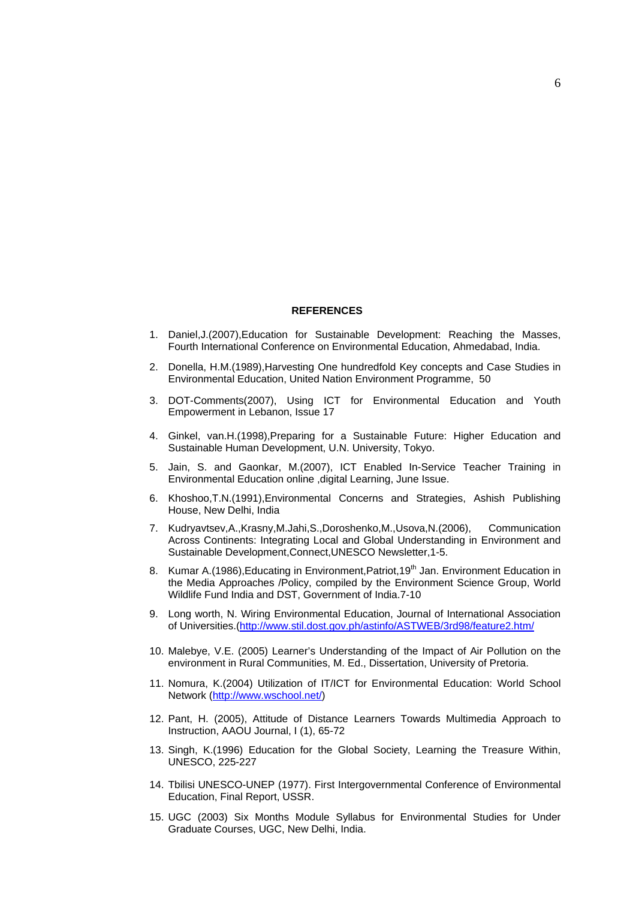### **REFERENCES**

- 1. Daniel,J.(2007),Education for Sustainable Development: Reaching the Masses, Fourth International Conference on Environmental Education, Ahmedabad, India.
- 2. Donella, H.M.(1989),Harvesting One hundredfold Key concepts and Case Studies in Environmental Education, United Nation Environment Programme, 50
- 3. DOT-Comments(2007), Using ICT for Environmental Education and Youth Empowerment in Lebanon, Issue 17
- 4. Ginkel, van.H.(1998),Preparing for a Sustainable Future: Higher Education and Sustainable Human Development, U.N. University, Tokyo.
- 5. Jain, S. and Gaonkar, M.(2007), ICT Enabled In-Service Teacher Training in Environmental Education online ,digital Learning, June Issue.
- 6. Khoshoo,T.N.(1991),Environmental Concerns and Strategies, Ashish Publishing House, New Delhi, India
- 7. Kudryavtsev,A.,Krasny,M.Jahi,S.,Doroshenko,M.,Usova,N.(2006), Communication Across Continents: Integrating Local and Global Understanding in Environment and Sustainable Development,Connect,UNESCO Newsletter,1-5.
- 8. Kumar A.(1986), Educating in Environment, Patriot, 19<sup>th</sup> Jan. Environment Education in the Media Approaches /Policy, compiled by the Environment Science Group, World Wildlife Fund India and DST, Government of India.7-10
- 9. Long worth, N. Wiring Environmental Education, Journal of International Association of Universities.(http://www.stil.dost.gov.ph/astinfo/ASTWEB/3rd98/feature2.htm/
- 10. Malebye, V.E. (2005) Learner's Understanding of the Impact of Air Pollution on the environment in Rural Communities, M. Ed., Dissertation, University of Pretoria.
- 11. Nomura, K.(2004) Utilization of IT/ICT for Environmental Education: World School Network (http://www.wschool.net/)
- 12. Pant, H. (2005), Attitude of Distance Learners Towards Multimedia Approach to Instruction, AAOU Journal, I (1), 65-72
- 13. Singh, K.(1996) Education for the Global Society, Learning the Treasure Within, UNESCO, 225-227
- 14. Tbilisi UNESCO-UNEP (1977). First Intergovernmental Conference of Environmental Education, Final Report, USSR.
- 15. UGC (2003) Six Months Module Syllabus for Environmental Studies for Under Graduate Courses, UGC, New Delhi, India.